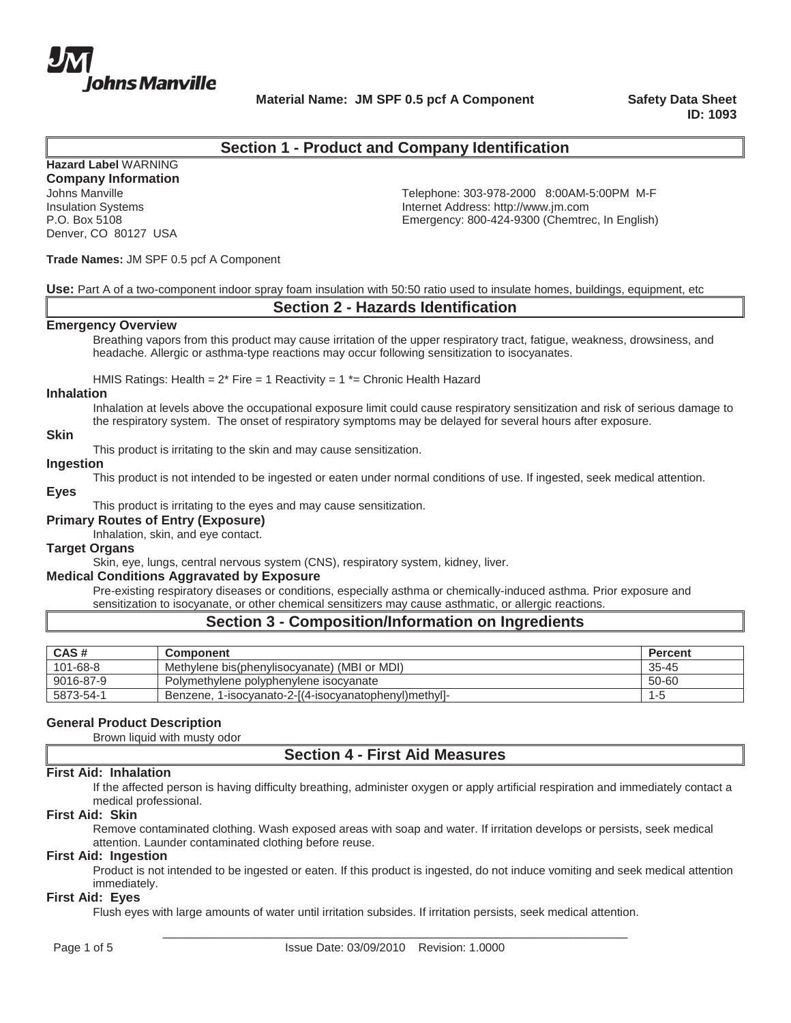

**Material Name: JM SPF 0.5 pcf A Component Safety Data Sheet** 

**ID: 1093**

# **Section 1 - Product and Company Identification**

**Hazard Label** WARNING **Company Information**

Denver, CO 80127 USA

Johns Manville **Telephone: 303-978-2000 8:00AM-5:00PM M-F** Insulation Systems Internet Address: http://www.jm.com Emergency: 800-424-9300 (Chemtrec, In English)

#### **Trade Names:** JM SPF 0.5 pcf A Component

**Use:** Part A of a two-component indoor spray foam insulation with 50:50 ratio used to insulate homes, buildings, equipment, etc

# **Section 2 - Hazards Identification**

#### **Emergency Overview**

Breathing vapors from this product may cause irritation of the upper respiratory tract, fatigue, weakness, drowsiness, and headache. Allergic or asthma-type reactions may occur following sensitization to isocyanates.

HMIS Ratings: Health =  $2*$  Fire = 1 Reactivity =  $1*$  = Chronic Health Hazard

## **Inhalation**

Inhalation at levels above the occupational exposure limit could cause respiratory sensitization and risk of serious damage to the respiratory system. The onset of respiratory symptoms may be delayed for several hours after exposure.

### **Skin**

This product is irritating to the skin and may cause sensitization.

## **Ingestion**

This product is not intended to be ingested or eaten under normal conditions of use. If ingested, seek medical attention.

## **Eyes**

This product is irritating to the eyes and may cause sensitization.

## **Primary Routes of Entry (Exposure)**

Inhalation, skin, and eye contact.

## **Target Organs**

Skin, eye, lungs, central nervous system (CNS), respiratory system, kidney, liver.

## **Medical Conditions Aggravated by Exposure**

Pre-existing respiratory diseases or conditions, especially asthma or chemically-induced asthma. Prior exposure and sensitization to isocyanate, or other chemical sensitizers may cause asthmatic, or allergic reactions.

# **Section 3 - Composition/Information on Ingredients**

| CAS#      | <b>Component</b>                                         | Percent   |
|-----------|----------------------------------------------------------|-----------|
| 101-68-8  | Methylene bis(phenylisocyanate) (MBI or MDI)             | $35 - 45$ |
| 9016-87-9 | Polymethylene polyphenylene isocyanate                   | 50-60     |
| 5873-54-1 | 1-isocyanato-2-[(4-isocyanatophenyl)methyl]-<br>Benzene. | 1-t       |

# **General Product Description**

Brown liquid with musty odor

# **Section 4 - First Aid Measures**

#### **First Aid: Inhalation**

If the affected person is having difficulty breathing, administer oxygen or apply artificial respiration and immediately contact a medical professional.

#### **First Aid: Skin**

Remove contaminated clothing. Wash exposed areas with soap and water. If irritation develops or persists, seek medical attention. Launder contaminated clothing before reuse.

#### **First Aid: Ingestion**

Product is not intended to be ingested or eaten. If this product is ingested, do not induce vomiting and seek medical attention immediately.

#### **First Aid: Eyes**

Flush eyes with large amounts of water until irritation subsides. If irritation persists, seek medical attention.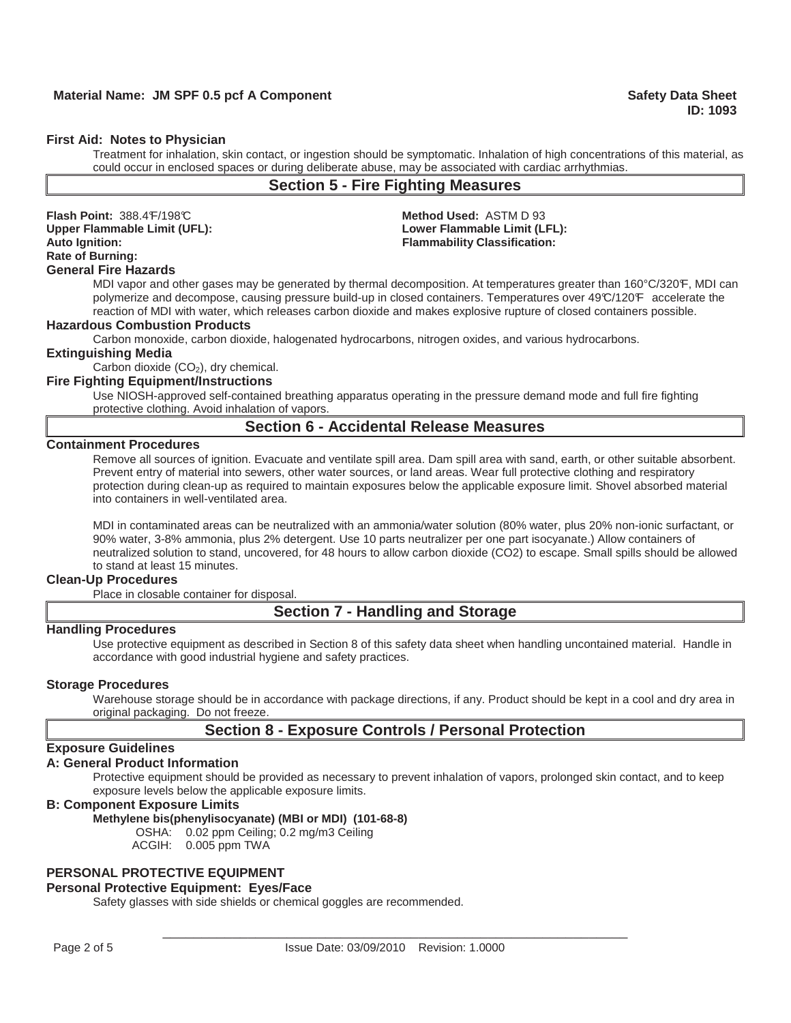#### **First Aid: Notes to Physician**

Treatment for inhalation, skin contact, or ingestion should be symptomatic. Inhalation of high concentrations of this material, as could occur in enclosed spaces or during deliberate abuse, may be associated with cardiac arrhythmias.

# **Section 5 - Fire Fighting Measures**

**Flash Point:** 388.4 F/198 C **Method Used:** ASTM D 93 **Upper Flammable Limit (UFL): Lower Flammable Limit (LFL): Auto Ignition: Flammability Classification: Rate of Burning:** 

## **General Fire Hazards**

MDI vapor and other gases may be generated by thermal decomposition. At temperatures greater than 160°C/320°F, MDI can polymerize and decompose, causing pressure build-up in closed containers. Temperatures over 49°C/120°F accelerate the reaction of MDI with water, which releases carbon dioxide and makes explosive rupture of closed containers possible.

## **Hazardous Combustion Products**

Carbon monoxide, carbon dioxide, halogenated hydrocarbons, nitrogen oxides, and various hydrocarbons.

## **Extinguishing Media**

Carbon dioxide  $(CO<sub>2</sub>)$ , dry chemical.

## **Fire Fighting Equipment/Instructions**

Use NIOSH-approved self-contained breathing apparatus operating in the pressure demand mode and full fire fighting protective clothing. Avoid inhalation of vapors.

# **Section 6 - Accidental Release Measures**

#### **Containment Procedures**

Remove all sources of ignition. Evacuate and ventilate spill area. Dam spill area with sand, earth, or other suitable absorbent. Prevent entry of material into sewers, other water sources, or land areas. Wear full protective clothing and respiratory protection during clean-up as required to maintain exposures below the applicable exposure limit. Shovel absorbed material into containers in well-ventilated area.

MDI in contaminated areas can be neutralized with an ammonia/water solution (80% water, plus 20% non-ionic surfactant, or 90% water, 3-8% ammonia, plus 2% detergent. Use 10 parts neutralizer per one part isocyanate.) Allow containers of neutralized solution to stand, uncovered, for 48 hours to allow carbon dioxide (CO2) to escape. Small spills should be allowed to stand at least 15 minutes.

#### **Clean-Up Procedures**

Place in closable container for disposal.

# **Section 7 - Handling and Storage**

#### **Handling Procedures**

Use protective equipment as described in Section 8 of this safety data sheet when handling uncontained material. Handle in accordance with good industrial hygiene and safety practices.

#### **Storage Procedures**

Warehouse storage should be in accordance with package directions, if any. Product should be kept in a cool and dry area in original packaging. Do not freeze.

# **Section 8 - Exposure Controls / Personal Protection**

## **Exposure Guidelines**

## **A: General Product Information**

Protective equipment should be provided as necessary to prevent inhalation of vapors, prolonged skin contact, and to keep exposure levels below the applicable exposure limits.

## **B: Component Exposure Limits**

#### **Methylene bis(phenylisocyanate) (MBI or MDI) (101-68-8)**

OSHA: 0.02 ppm Ceiling; 0.2 mg/m3 Ceiling

ACGIH: 0.005 ppm TWA

#### **PERSONAL PROTECTIVE EQUIPMENT**

#### **Personal Protective Equipment: Eyes/Face**

Safety glasses with side shields or chemical goggles are recommended.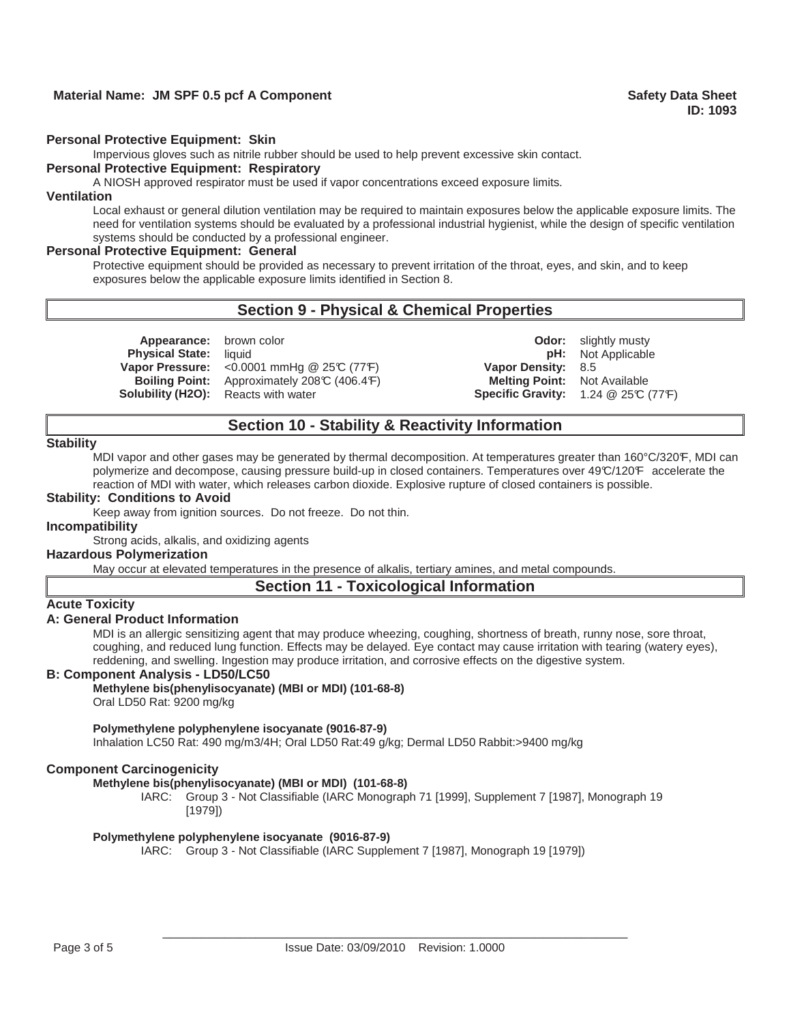# **Material Name: JM SPF 0.5 pcf A Component Sheet Sheet Sheet Sheet Safety Data Sheet**

#### **Personal Protective Equipment: Skin**

Impervious gloves such as nitrile rubber should be used to help prevent excessive skin contact.

#### **Personal Protective Equipment: Respiratory**

A NIOSH approved respirator must be used if vapor concentrations exceed exposure limits.

## **Ventilation**

Local exhaust or general dilution ventilation may be required to maintain exposures below the applicable exposure limits. The need for ventilation systems should be evaluated by a professional industrial hygienist, while the design of specific ventilation systems should be conducted by a professional engineer.

#### **Personal Protective Equipment: General**

Protective equipment should be provided as necessary to prevent irritation of the throat, eyes, and skin, and to keep exposures below the applicable exposure limits identified in Section 8.

# **Section 9 - Physical & Chemical Properties**

**Vapor Pressure:** <0.0001 mmHg @ 25°C (77°F) **Vapor Density:** 8.5

**Appearance:** brown color **CODO CODO Odor: Odor:** slightly musty **Physical State:** liquid **pH:** Not Applicable **Boiling Point:** Approximately 208°C (406.4°F) **Melting Point:** Not Available **Solubility (H2O):** Reacts with water **Specific Gravity:** 1.24 @ 25°C (77°F)

# **Section 10 - Stability & Reactivity Information**

#### **Stability**

MDI vapor and other gases may be generated by thermal decomposition. At temperatures greater than 160°C/320°F, MDI can polymerize and decompose, causing pressure build-up in closed containers. Temperatures over 49°C/120°F accelerate the reaction of MDI with water, which releases carbon dioxide. Explosive rupture of closed containers is possible.

#### **Stability: Conditions to Avoid**

Keep away from ignition sources. Do not freeze. Do not thin.

#### **Incompatibility**

Strong acids, alkalis, and oxidizing agents

## **Hazardous Polymerization**

May occur at elevated temperatures in the presence of alkalis, tertiary amines, and metal compounds.

## **Section 11 - Toxicological Information**

# **Acute Toxicity**

## **A: General Product Information**

MDI is an allergic sensitizing agent that may produce wheezing, coughing, shortness of breath, runny nose, sore throat, coughing, and reduced lung function. Effects may be delayed. Eye contact may cause irritation with tearing (watery eyes), reddening, and swelling. Ingestion may produce irritation, and corrosive effects on the digestive system.

#### **B: Component Analysis - LD50/LC50**

## **Methylene bis(phenylisocyanate) (MBI or MDI) (101-68-8)**

Oral LD50 Rat: 9200 mg/kg

#### **Polymethylene polyphenylene isocyanate (9016-87-9)**

Inhalation LC50 Rat: 490 mg/m3/4H; Oral LD50 Rat:49 g/kg; Dermal LD50 Rabbit:>9400 mg/kg

## **Component Carcinogenicity**

#### **Methylene bis(phenylisocyanate) (MBI or MDI) (101-68-8)**

IARC: Group 3 - Not Classifiable (IARC Monograph 71 [1999], Supplement 7 [1987], Monograph 19 [1979])

#### **Polymethylene polyphenylene isocyanate (9016-87-9)**

IARC: Group 3 - Not Classifiable (IARC Supplement 7 [1987], Monograph 19 [1979])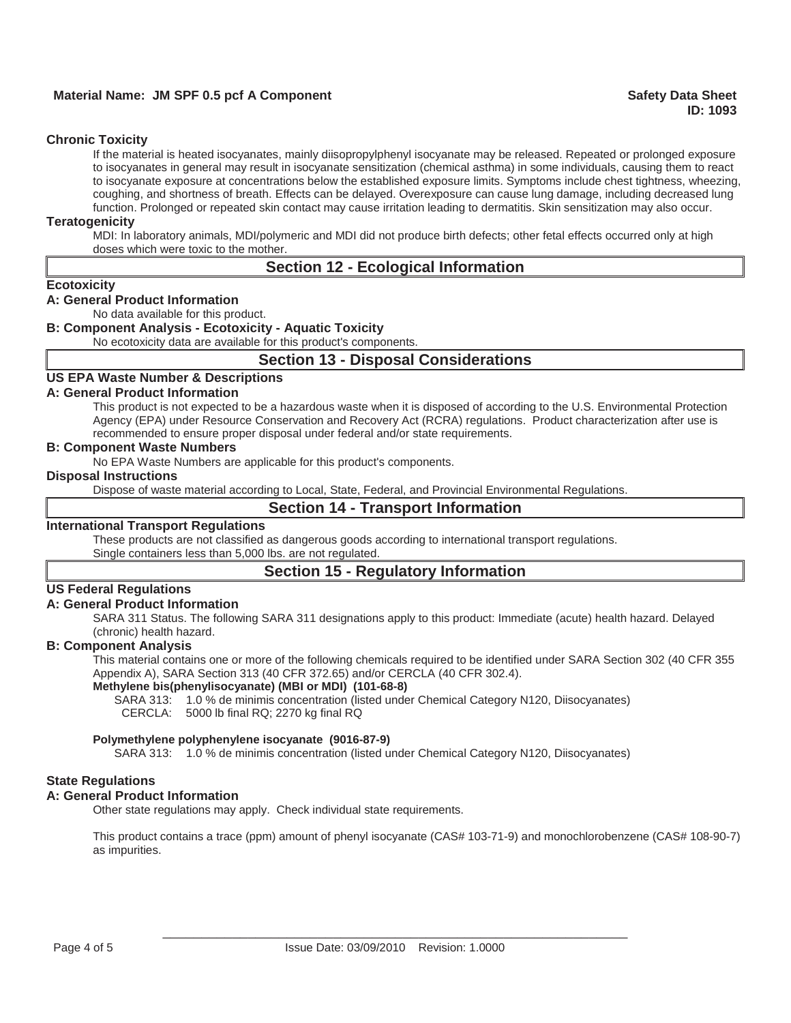# **Material Name: JM SPF 0.5 pcf A Component Safety Data Sheet Safety Data Sheet**  Safety Data Sheet

## **Chronic Toxicity**

If the material is heated isocyanates, mainly diisopropylphenyl isocyanate may be released. Repeated or prolonged exposure to isocyanates in general may result in isocyanate sensitization (chemical asthma) in some individuals, causing them to react to isocyanate exposure at concentrations below the established exposure limits. Symptoms include chest tightness, wheezing, coughing, and shortness of breath. Effects can be delayed. Overexposure can cause lung damage, including decreased lung function. Prolonged or repeated skin contact may cause irritation leading to dermatitis. Skin sensitization may also occur.

## **Teratogenicity**

MDI: In laboratory animals, MDI/polymeric and MDI did not produce birth defects; other fetal effects occurred only at high doses which were toxic to the mother.

# **Section 12 - Ecological Information**

#### **Ecotoxicity**

## **A: General Product Information**

No data available for this product.

## **B: Component Analysis - Ecotoxicity - Aquatic Toxicity**

No ecotoxicity data are available for this product's components.

## **Section 13 - Disposal Considerations**

# **US EPA Waste Number & Descriptions**

## **A: General Product Information**

This product is not expected to be a hazardous waste when it is disposed of according to the U.S. Environmental Protection Agency (EPA) under Resource Conservation and Recovery Act (RCRA) regulations. Product characterization after use is recommended to ensure proper disposal under federal and/or state requirements.

## **B: Component Waste Numbers**

No EPA Waste Numbers are applicable for this product's components.

## **Disposal Instructions**

Dispose of waste material according to Local, State, Federal, and Provincial Environmental Regulations.

## **Section 14 - Transport Information**

## **International Transport Regulations**

These products are not classified as dangerous goods according to international transport regulations.

Single containers less than 5,000 lbs. are not regulated.

## **Section 15 - Regulatory Information**

## **US Federal Regulations**

## **A: General Product Information**

SARA 311 Status. The following SARA 311 designations apply to this product: Immediate (acute) health hazard. Delayed (chronic) health hazard.

## **B: Component Analysis**

This material contains one or more of the following chemicals required to be identified under SARA Section 302 (40 CFR 355 Appendix A), SARA Section 313 (40 CFR 372.65) and/or CERCLA (40 CFR 302.4).

#### **Methylene bis(phenylisocyanate) (MBI or MDI) (101-68-8)**

SARA 313: 1.0 % de minimis concentration (listed under Chemical Category N120, Diisocyanates)

CERCLA: 5000 lb final RQ; 2270 kg final RQ

#### **Polymethylene polyphenylene isocyanate (9016-87-9)**

SARA 313: 1.0 % de minimis concentration (listed under Chemical Category N120, Diisocyanates)

## **State Regulations**

## **A: General Product Information**

Other state regulations may apply. Check individual state requirements.

This product contains a trace (ppm) amount of phenyl isocyanate (CAS# 103-71-9) and monochlorobenzene (CAS# 108-90-7) as impurities.